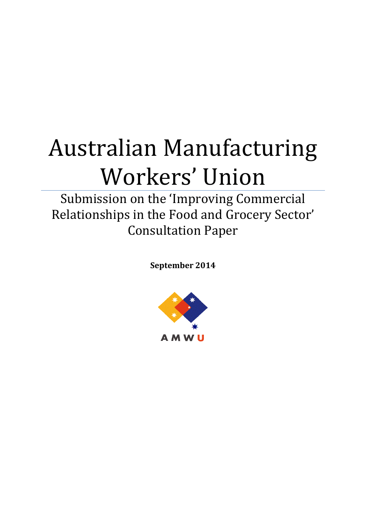# Australian Manufacturing Workers' Union

Submission on the 'Improving Commercial Relationships in the Food and Grocery Sector' Consultation Paper

**September 2014**

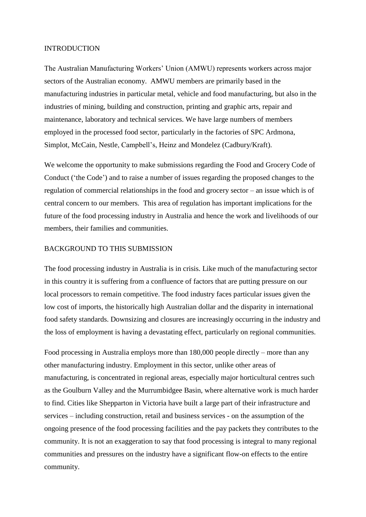#### INTRODUCTION

The Australian Manufacturing Workers' Union (AMWU) represents workers across major sectors of the Australian economy. AMWU members are primarily based in the manufacturing industries in particular metal, vehicle and food manufacturing, but also in the industries of mining, building and construction, printing and graphic arts, repair and maintenance, laboratory and technical services. We have large numbers of members employed in the processed food sector, particularly in the factories of SPC Ardmona, Simplot, McCain, Nestle, Campbell's, Heinz and Mondelez (Cadbury/Kraft).

We welcome the opportunity to make submissions regarding the Food and Grocery Code of Conduct ('the Code') and to raise a number of issues regarding the proposed changes to the regulation of commercial relationships in the food and grocery sector – an issue which is of central concern to our members. This area of regulation has important implications for the future of the food processing industry in Australia and hence the work and livelihoods of our members, their families and communities.

### BACKGROUND TO THIS SUBMISSION

The food processing industry in Australia is in crisis. Like much of the manufacturing sector in this country it is suffering from a confluence of factors that are putting pressure on our local processors to remain competitive. The food industry faces particular issues given the low cost of imports, the historically high Australian dollar and the disparity in international food safety standards. Downsizing and closures are increasingly occurring in the industry and the loss of employment is having a devastating effect, particularly on regional communities.

Food processing in Australia employs more than 180,000 people directly – more than any other manufacturing industry. Employment in this sector, unlike other areas of manufacturing, is concentrated in regional areas, especially major horticultural centres such as the Goulburn Valley and the Murrumbidgee Basin, where alternative work is much harder to find. Cities like Shepparton in Victoria have built a large part of their infrastructure and services – including construction, retail and business services - on the assumption of the ongoing presence of the food processing facilities and the pay packets they contributes to the community. It is not an exaggeration to say that food processing is integral to many regional communities and pressures on the industry have a significant flow-on effects to the entire community.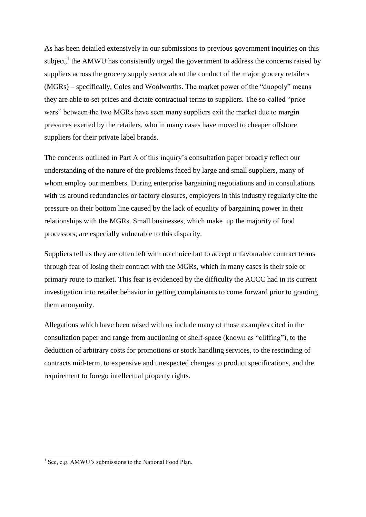As has been detailed extensively in our submissions to previous government inquiries on this subject,<sup>1</sup> the AMWU has consistently urged the government to address the concerns raised by suppliers across the grocery supply sector about the conduct of the major grocery retailers (MGRs) – specifically, Coles and Woolworths. The market power of the "duopoly" means they are able to set prices and dictate contractual terms to suppliers. The so-called "price wars" between the two MGRs have seen many suppliers exit the market due to margin pressures exerted by the retailers, who in many cases have moved to cheaper offshore suppliers for their private label brands.

The concerns outlined in Part A of this inquiry's consultation paper broadly reflect our understanding of the nature of the problems faced by large and small suppliers, many of whom employ our members. During enterprise bargaining negotiations and in consultations with us around redundancies or factory closures, employers in this industry regularly cite the pressure on their bottom line caused by the lack of equality of bargaining power in their relationships with the MGRs. Small businesses, which make up the majority of food processors, are especially vulnerable to this disparity.

Suppliers tell us they are often left with no choice but to accept unfavourable contract terms through fear of losing their contract with the MGRs, which in many cases is their sole or primary route to market. This fear is evidenced by the difficulty the ACCC had in its current investigation into retailer behavior in getting complainants to come forward prior to granting them anonymity.

Allegations which have been raised with us include many of those examples cited in the consultation paper and range from auctioning of shelf-space (known as "cliffing"), to the deduction of arbitrary costs for promotions or stock handling services, to the rescinding of contracts mid-term, to expensive and unexpected changes to product specifications, and the requirement to forego intellectual property rights.

1

<sup>&</sup>lt;sup>1</sup> See, e.g. AMWU's submissions to the National Food Plan.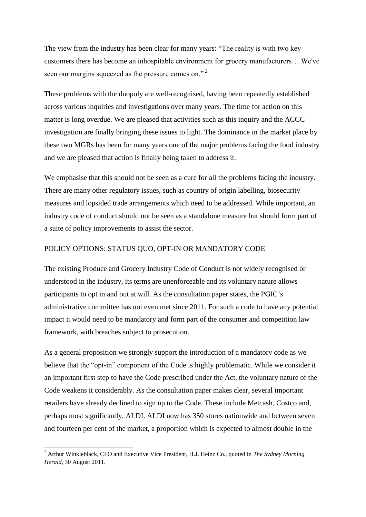The view from the industry has been clear for many years: "The reality is with two key customers there has become an inhospitable environment for grocery manufacturers… We've seen our margins squeezed as the pressure comes on."<sup>2</sup>

These problems with the duopoly are well-recognised, having been repeatedly established across various inquiries and investigations over many years. The time for action on this matter is long overdue. We are pleased that activities such as this inquiry and the ACCC investigation are finally bringing these issues to light. The dominance in the market place by these two MGRs has been for many years one of the major problems facing the food industry and we are pleased that action is finally being taken to address it.

We emphasise that this should not be seen as a cure for all the problems facing the industry. There are many other regulatory issues, such as country of origin labelling, biosecurity measures and lopsided trade arrangements which need to be addressed. While important, an industry code of conduct should not be seen as a standalone measure but should form part of a suite of policy improvements to assist the sector.

## POLICY OPTIONS: STATUS QUO, OPT-IN OR MANDATORY CODE

The existing Produce and Grocery Industry Code of Conduct is not widely recognised or understood in the industry, its terms are unenforceable and its voluntary nature allows participants to opt in and out at will. As the consultation paper states, the PGIC's administrative committee has not even met since 2011. For such a code to have any potential impact it would need to be mandatory and form part of the consumer and competition law framework, with breaches subject to prosecution.

As a general proposition we strongly support the introduction of a mandatory code as we believe that the "opt-in" component of the Code is highly problematic. While we consider it an important first step to have the Code prescribed under the Act, the voluntary nature of the Code weakens it considerably. As the consultation paper makes clear, several important retailers have already declined to sign up to the Code. These include Metcash, Costco and, perhaps most significantly, ALDI. ALDI now has 350 stores nationwide and between seven and fourteen per cent of the market, a proportion which is expected to almost double in the

**.** 

<sup>2</sup> Arthur Winkleblack, CFO and Executive Vice President, H.J. Heinz Co., quoted in *The Sydney Morning Herald*, 30 August 2011.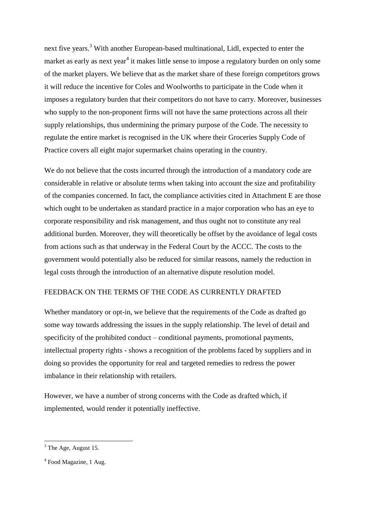next five years.<sup>3</sup> With another European-based multinational, Lidl, expected to enter the market as early as next year<sup>4</sup> it makes little sense to impose a regulatory burden on only some of the market players. We believe that as the market share of these foreign competitors grows it will reduce the incentive for Coles and Woolworths to participate in the Code when it imposes a regulatory burden that their competitors do not have to carry. Moreover, businesses who supply to the non-proponent firms will not have the same protections across all their supply relationships, thus undermining the primary purpose of the Code. The necessity to regulate the entire market is recognised in the UK where their Groceries Supply Code of Practice covers all eight major supermarket chains operating in the country.

We do not believe that the costs incurred through the introduction of a mandatory code are considerable in relative or absolute terms when taking into account the size and profitability of the companies concerned. In fact, the compliance activities cited in Attachment E are those which ought to be undertaken as standard practice in a major corporation who has an eye to corporate responsibility and risk management, and thus ought not to constitute any real additional burden. Moreover, they will theoretically be offset by the avoidance of legal costs from actions such as that underway in the Federal Court by the ACCC. The costs to the government would potentially also be reduced for similar reasons, namely the reduction in legal costs through the introduction of an alternative dispute resolution model.

## FEEDBACK ON THE TERMS OF THE CODE AS CURRENTLY DRAFTED

Whether mandatory or opt-in, we believe that the requirements of the Code as drafted go some way towards addressing the issues in the supply relationship. The level of detail and specificity of the prohibited conduct – conditional payments, promotional payments, intellectual property rights - shows a recognition of the problems faced by suppliers and in doing so provides the opportunity for real and targeted remedies to redress the power imbalance in their relationship with retailers.

However, we have a number of strong concerns with the Code as drafted which, if implemented, would render it potentially ineffective.

 $\overline{a}$ 

 $3$  The Age, August 15.

<sup>&</sup>lt;sup>4</sup> Food Magazine, 1 Aug.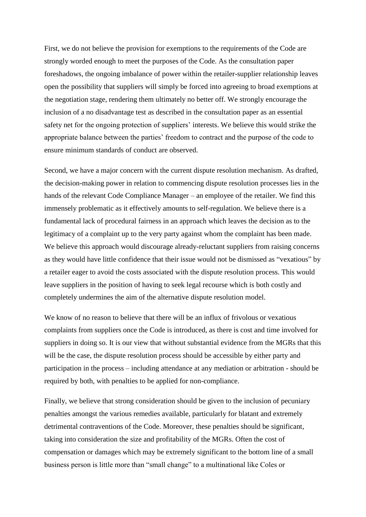First, we do not believe the provision for exemptions to the requirements of the Code are strongly worded enough to meet the purposes of the Code. As the consultation paper foreshadows, the ongoing imbalance of power within the retailer-supplier relationship leaves open the possibility that suppliers will simply be forced into agreeing to broad exemptions at the negotiation stage, rendering them ultimately no better off. We strongly encourage the inclusion of a no disadvantage test as described in the consultation paper as an essential safety net for the ongoing protection of suppliers' interests. We believe this would strike the appropriate balance between the parties' freedom to contract and the purpose of the code to ensure minimum standards of conduct are observed.

Second, we have a major concern with the current dispute resolution mechanism. As drafted, the decision-making power in relation to commencing dispute resolution processes lies in the hands of the relevant Code Compliance Manager – an employee of the retailer. We find this immensely problematic as it effectively amounts to self-regulation. We believe there is a fundamental lack of procedural fairness in an approach which leaves the decision as to the legitimacy of a complaint up to the very party against whom the complaint has been made. We believe this approach would discourage already-reluctant suppliers from raising concerns as they would have little confidence that their issue would not be dismissed as "vexatious" by a retailer eager to avoid the costs associated with the dispute resolution process. This would leave suppliers in the position of having to seek legal recourse which is both costly and completely undermines the aim of the alternative dispute resolution model.

We know of no reason to believe that there will be an influx of frivolous or vexatious complaints from suppliers once the Code is introduced, as there is cost and time involved for suppliers in doing so. It is our view that without substantial evidence from the MGRs that this will be the case, the dispute resolution process should be accessible by either party and participation in the process – including attendance at any mediation or arbitration - should be required by both, with penalties to be applied for non-compliance.

Finally, we believe that strong consideration should be given to the inclusion of pecuniary penalties amongst the various remedies available, particularly for blatant and extremely detrimental contraventions of the Code. Moreover, these penalties should be significant, taking into consideration the size and profitability of the MGRs. Often the cost of compensation or damages which may be extremely significant to the bottom line of a small business person is little more than "small change" to a multinational like Coles or